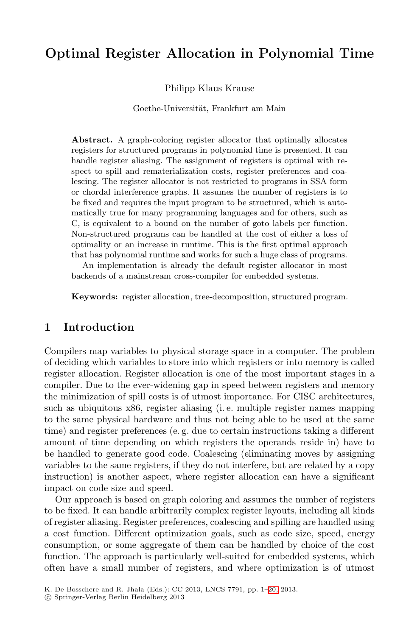# **Optimal Register Allocation in Polynomial Time**

Philipp Klaus Krause

Goethe-Universität, Frankfurt am Main

**Abstract.** A graph-coloring register allocator that optimally allocates registers for structured programs in polynomial time is presented. It can handle register aliasing. The assignment of registers is optimal with respect to spill and rematerialization costs, register preferences and coalescing. The register allocator is not restricted to programs in SSA form or chordal interference graphs. It assumes the number of registers is to be fixed and requires the input program to be structured, which is automatically true for many programming languages and for others, such as C, is equivalent to a bound on the number of goto labels per function. Non-structured programs can be handled at the cost of either a loss of optimality or an increase in runtime. This is the first optimal approach that has polynomial runtime and works for such a huge class of programs. An implementation is already the default register allocator in most

backends of a mainstream cross-compiler for embedded systems.

**Keywords:** register allocation, tree-decomposition, structured program.

### **1 Introduction**

Compilers map variables to physical storage space in a computer. The problem of deciding which variables to store into which registers or into memory is called register allocation. Register allocation is one of the most important stages in a compiler. Due to the ever-widening gap in speed between registers and memory the minimization of spill costs is of utmost importance. For CISC architectures, such as ubiquitous x86, register aliasing (i. e. multiple register names mapping to the same physical hardware and thus not being able to be used at the same time) and register preferences (e. g. due to certain instructions taking a different amount of time depending on which registers the operands reside in) have to be handled to generate good code. Coalescing (eliminating moves by assigning variables to the same registers, if they do not interfere, but are related by a copy instruction) is another aspect, where register allocation can have a significant impact on code size and speed.

Our approach is based on graph c[olo](#page-19-0)ring and assumes the number of registers to be fixed. It can handle arbitrarily complex register layouts, including all kinds of register aliasing. Register preferences, coalescing and spilling are handled using a cost function. Different optimization goals, such as code size, speed, energy consumption, or some aggregate of them can be handled by choice of the cost function. The approach is particularly well-suited for embedded systems, which often have a small number of registers, and where optimization is of utmost

K. De Bosschere and R. Jhala (Eds.): CC 2013, LNCS 7791, pp. 1–20, 2013.

<sup>-</sup>c Springer-Verlag Berlin Heidelberg 2013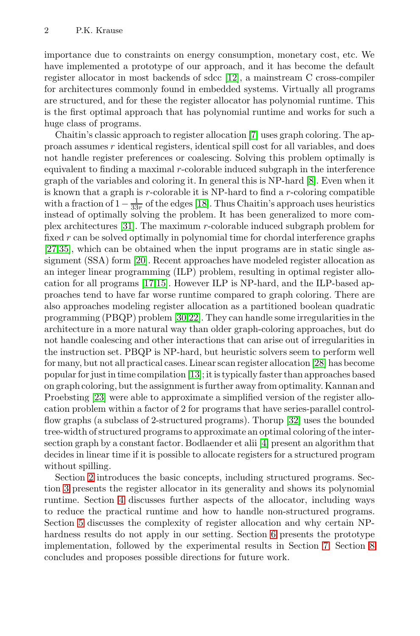importance due to constraints [on](#page-17-0) energy consumption, monetary cost, etc. We have implemented a prototype of our approach, and it has become the default register allocator in most backends of sdcc [12], a mainstream C cross-compiler for architectures commonly found in embedd[ed](#page-17-1) systems. Virtually all programs are structured, and for these the register allocator has polynomial runtime. This is the first optima[l ap](#page-18-0)proach that has polynomial runtime and works for such a huge class of programs.

[C](#page-19-1)haitin's classic approach to register allocation [7] uses graph coloring. The approach assumes r identical registers, identical spill cost for all variables, and does not handle register preferences or coalescing. Solving this problem optimally is equ[ival](#page-18-1)ent to finding a maximal r-colorable induced subgraph in the interference graph of the variables and coloring it. In general this is NP-hard [8]. Even when it is kno[wn](#page-18-2) [tha](#page-18-3)t a graph is  $r$ -colorable it is NP-hard to find a  $r$ -coloring compatible with a fraction of  $1 - \frac{1}{33r}$  of the edges [18]. Thus Chaitin's approach uses heuristics instead of ontimally solving the problem. It has been generalized to more cominstead of optimally solving the problem. It has been generalized to more complex architect[ure](#page-18-4)[s \[3](#page-18-5)1]. The maximum r-colorable induced subgraph problem for fixed  $r$  can be solved optimally in polynomial time for chordal interference graphs [27,35], which can be obtained when the input programs are in static single assignment (SSA) form [20]. Recent approaches have modeled register allocation as an integer linear programming (ILP) problem, [res](#page-18-6)ulting in optimal register allocation for all pro[gra](#page-18-7)ms [17,15]. However ILP is NP-hard, and the ILP-based approaches tend to have far worse runtime compared to graph coloring. There are also approaches modeling register allocation as a partitioned boolean quadratic programming (PBQP) problem [30,22]. They can handle some irregularities in the architecture in a more natural way than [olde](#page-19-2)r graph-coloring approaches, but do not handle coalescing and other interactions that can arise out of irregularities in the instruction set. PBQP is NP-h[ar](#page-17-2)d, but heuristic solvers seem to perform well for many, but not all practical cases. Linear scan register allocation [28] has become popular for just in time compilation [13]; it is typically faster than approaches based on graph coloring, but the assignment is further away from optimality. Kannan and Proebsting [23] were able to approximate a simplified version of the register allo[ca](#page-7-0)tion problem within a factor of 2 for programs that have series-parallel controlflow graphs (a subclass of 2-structured programs). Thorup [32] uses the bounded tree-width of structured programs to approximate an optimal coloring of the intersection graph by a constant factor. B[odl](#page-10-0)aender et alii [4] present an algorithm that decides in linear time if it is possible to allocate re[gis](#page-11-0)ters for a [st](#page-17-3)ructured program without spilling.

Section 2 introduces the basic concepts, including structured programs. Section 3 presents the register allocator in its generality and shows its polynomial runtime. Section 4 discusses further aspects of the allocator, including ways to reduce the practical runtime and how to handle non-structured programs. Section 5 discusses the complexity of register allocation and why certain NPhardness results do not apply in our setting. Section 6 presents the prototype implementation, followed by the experimental results in Section 7. Section 8 concludes and proposes possible directions for future work.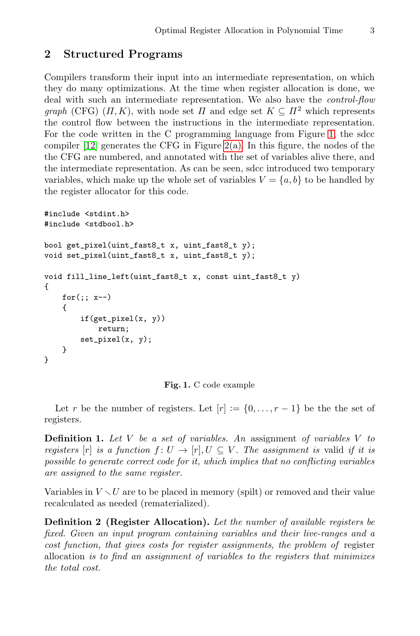# **2 Structured Pro[gram](#page-3-0)s**

Compilers transform their input into an intermediate representation, on which they do many optimizations. At the time when register allocation is done, we deal with such an intermediate representation. We also have the *control-flow graph* (CFG)  $(\Pi, K)$ , with node set  $\Pi$  and edge set  $K \subseteq \Pi^2$  which represents the control flow between the instructions in the intermediate representation. For the code written in the C programming language from Figure 1, the sdcc compiler [12] generates the CFG in Figure 2(a). In this figure, the nodes of the the CFG are numbered, and annotated with the set of variables alive there, and the intermediate representation. As can be seen, sdcc introduced two temporary variables, which make up the whole set of variables  $V = \{a, b\}$  to be handled by the register allocator for this code.

```
#include <stdint.h>
#include <stdbool.h>
bool get_pixel(uint_fast8_t x, uint_fast8_t y);
void set_pixel(uint_fast8_t x, uint_fast8_t y);
void fill_line_left(uint_fast8_t x, const uint_fast8_t y)
{
    for (;; x--)
    {
        if(get_pixel(x, y))
            return;
        set_pixel(x, y);
    }
}
```


Let r be the number of registers. Let  $[r] := \{0, \ldots, r-1\}$  be the set of registers.

**Definition 1.** *Let* V *be a set of variables. An* assignment *of variables* V *to registers* [r] *is a function*  $f: U \to [r], U \subseteq V$ *. The assignment is valid if it is possible to generate correct code for it, which implies that no conflicting variables are assigned to the same register.*

Variables in  $V \setminus U$  are to be placed in memory (spilt) or removed and their value recalculated as needed (rematerialized) recalculated as needed (rematerialized).

**Definition 2 (Register Allocation).** *Let the number of available registers be fixed. Given an input program containing variables and their live-ranges and a cost function, that gives costs for register assignments, the problem of* register allocation *is to find an assignment of variables to the registers that minimizes the total cost.*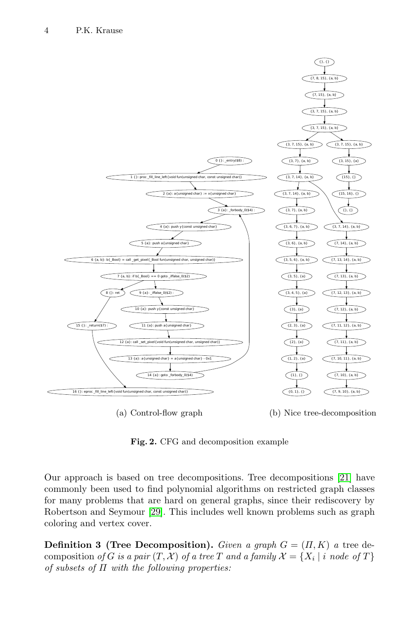<span id="page-3-0"></span>

<span id="page-3-1"></span>(a) Control-flow graph (b) Nice tree-decomposition

**Fig. 2.** CFG and decomposition example

Our approach is based on tree decompositions. Tree decompositions [21] have commonly been used to find polynomial algorithms on restricted graph classes for many problems that are hard on general graphs, since their rediscovery by Robertson and Seymour [29]. This includes well known problems such as graph coloring and vertex cover.

**Definition 3 (Tree Decomposition).** *Given a graph*  $G = (H, K)$  *a* tree decomposition *of* G *is a pair*  $(T, \mathcal{X})$  *of a tree* T *and a family*  $\mathcal{X} = \{X_i \mid i \text{ node of } T\}$ *of subsets of* Π *with the following properties:*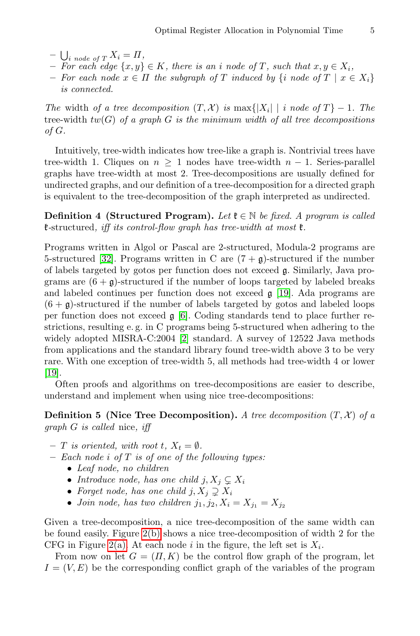- $\bigcup_{i \text{ node of } T} X_i = \Pi,$ <br>  $-$  *For each edge*  $\{x, y\}$
- $P$  *For each edge* { $x, y$ } ∈ K*, there is an i node of* T*, such that*  $x, y \in X_i$ ,<br>  $P$  *For each node*  $x \in \Pi$  *the subgraph of*  $T$  *induced by {i node of*  $T \mid x \in \Pi$
- **–** *For each node* <sup>x</sup> <sup>∈</sup> <sup>Π</sup> *the subgraph of* <sup>T</sup> *induced by* {<sup>i</sup> *node of* <sup>T</sup> <sup>|</sup> <sup>x</sup> <sup>∈</sup> <sup>X</sup>i} *is connected.*

*The* width *of a tree decomposition*  $(T, \mathcal{X})$  *is* max $\{ |X_i| \mid i \text{ node of } T \} - 1$ *. The* tree-width tw(G) *of a graph* G *is the minimum width of all tree decompositions of* G*.*

Intuitively, tree-width indicates how tree-like a graph is. Nontrivial trees have tree-width 1. Cliques on  $n > 1$  nodes have tree-width  $n - 1$ . Series-parallel graphs have tree-width at most 2. Tree-decompositions are usually defined for undirected graphs, and our definition of a tree-decomposition for a directed graph is equivalent to the tree-decompositio[n](#page-18-8) [of](#page-18-8) the graph interpreted as undirected.

**Definition 4 (Structured Program).** *Let*  $\mathfrak{k} \in \mathbb{N}$  *be fixed. A program is called* k*-*structured*, i[ff](#page-17-4) its control-flow graph has tree-width at most* k*.*

Programs writ[te](#page-17-5)n in Algol or Pascal are 2-structured, Modula-2 programs are 5-structured [32]. Programs written in C are  $(7 + g)$ -structured if the number of labels targeted by gotos per function does not exceed g. Similarly, Java programs are  $(6 + g)$ -structured if the number of loops targeted by labeled breaks and labeled continues per function does not exceed g [19]. Ada programs are  $(6 + \mathfrak{g})$ -structured if the number of labels targeted by gotos and labeled loops per function does not exceed  $\mathfrak{g}$  [6]. Coding standards tend to place further restrictions, resulting e. g. in C programs being 5-structured when adhering to the widely adopted MISRA-C:2004 [2] standard. A survey of 12522 Java methods from applications and the standard library found tree-width above 3 to be very rare. With one exception of tree-width 5, all methods had tree-width 4 or lower [19].

Often proofs and algorithms on tree-decompositions are easier to describe, understand and implement when using nice tree-decompositions:

**Definition 5 (Nice Tree Decomposition).** *A tree decomposition* (T, <sup>X</sup>) *of a graph* G *is called* nice*, iff*

- $-$  T *[is or](#page-3-1)iented, with root t,*  $X_t = \emptyset$ *.*
- **[–](#page-3-0)** *Each node* i *of* T *is of one of the following types:*
	- *Leaf node, no children*
	- *Introduce node, has one child*  $j, X_j \subsetneq X_i$
	- *Forget node, has one child*  $j, X_j \supsetneq X_i$
	- *Join node, has two children*  $j_1, j_2, X_i = X_{j_1} = X_{j_2}$

Given a tree-decomposition, a nice tree-decomposition of the same width can be found easily. Figure 2(b) shows a nice tree-decomposition of width 2 for the CFG in Figure 2(a). At each node i in the figure, the left set is  $X_i$ .

From now on let  $G = (\Pi, K)$  be the control flow graph of the program, let  $I = (V, E)$  be the corresponding conflict graph of the variables of the program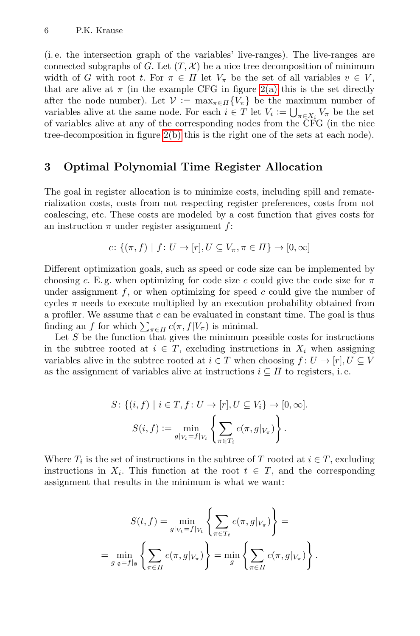<span id="page-5-0"></span>(i. e. the i[nterse](#page-3-1)ction graph of the variables' live-ranges). The live-ranges are connected subgraphs of G. Let  $(T, \mathcal{X})$  be a nice tree decomposition of minimum width of G with root t. For  $\pi \in \Pi$  let  $V_{\pi}$  be the set of all variables  $v \in V$ , that are alive at  $\pi$  (in the example CFG in figure 2(a) this is the set directly after the node number). Let  $\mathcal{V} := \max_{\pi \in \Pi} \{V_{\pi}\}\$ be the maximum number of variables alive at the same node. For each  $i \in T$  let  $V_i := \bigcup_{\pi \in X_i} V_{\pi}$  be the set<br>of variables alive at any of the corresponding nodes from the CEC (in the nice of variables alive at any of the corresponding nodes from the CFG (in the nice tree-decomposition in figure 2(b) this is the right one of the sets at each node).

# **3 Optimal Polynomial Time Register Allocation**

The goal in register allocation is to minimize costs, including spill and rematerialization costs, costs from not respecting register preferences, costs from not coalescing, etc. These costs are modeled by a cost function that gives costs for an instruction  $\pi$  under register assignment f:

$$
c\colon \{(\pi,f) \mid f\colon U\to [r], U\subseteq V_\pi, \pi\in \Pi\} \to [0,\infty]
$$

Different optimization goals, such as speed or code size can be implemented by choosing c. E.g. when optimizing for code size c could give the code size for  $\pi$ under assignment  $f$ , or when optimizing for speed c could give the number of cycles  $\pi$  needs to execute multiplied by an execution probability obtained from a profiler. We assume that  $c$  can be evaluated in constant time. The goal is thus finding an f for which  $\sum_{\pi \in \Pi} c(\pi, f|V_{\pi})$  is minimal.<br>Let S be the function that gives the minimum p

Let  $S$  be the function that gives the minimum possible costs for instructions in the subtree rooted at  $i \in T$ , excluding instructions in  $X_i$  when assigning variables alive in the subtree rooted at  $i \in T$  when choosing  $f: U \to [r], U \subseteq V$ as the assignment of variables alive at instructions  $i \subseteq \Pi$  to registers, i.e.

$$
S: \{(i, f) \mid i \in T, f: U \to [r], U \subseteq V_i\} \to [0, \infty].
$$

$$
S(i, f) := \min_{g|_{V_i} = f|_{V_i}} \left\{ \sum_{\pi \in T_i} c(\pi, g|_{V_{\pi}}) \right\}.
$$

Where  $T_i$  is the set of instructions in the subtree of T rooted at  $i \in T$ , excluding instructions in  $X_i$ . This function at the root  $t \in T$ , and the corresponding assignment that results in the minimum is what we want:

$$
S(t, f) = \min_{g|_{V_t} = f|_{V_t}} \left\{ \sum_{\pi \in T_t} c(\pi, g|_{V_{\pi}}) \right\} =
$$

$$
= \min_{g|_{\emptyset} = f|_{\emptyset}} \left\{ \sum_{\pi \in \Pi} c(\pi, g|_{V_{\pi}}) \right\} = \min_{g} \left\{ \sum_{\pi \in \Pi} c(\pi, g|_{V_{\pi}}) \right\}.
$$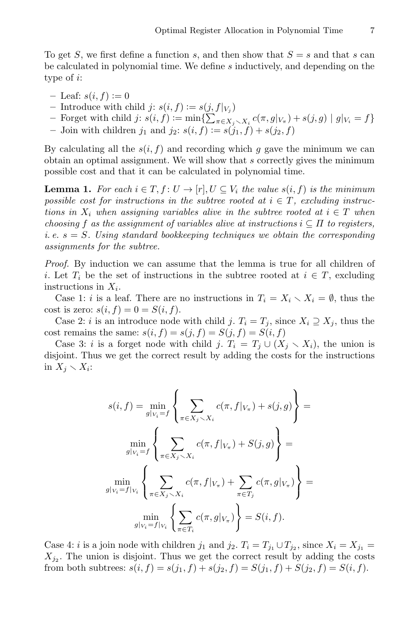To get S, we first define a function s, and then show that  $S = s$  and that s can be calculated in polynomial time. We define s inductively, and depending on the type of i:

- 
- Leaf:  $s(i, f) := 0$ <br>- Introduce with child  $j: s(i, f) := s(j, f|_{V_i})$ - Introduce with child  $j: s(i, f) := s(j, f|_{V_j})$ <br>- Forget with child  $j: s(i, f) := \min\{\sum_{y \in V_j} f(y, y) \}$
- $\begin{aligned} -\text{ Forget with child } j: s(i, f) := \min\{\sum_{\pi \in X_j \setminus X_i} c(\pi, g|_{V_{\pi}}) + s(j, g) \mid g|_{V_i} = f\} \\ -\text{ Join with children } j_i \text{ and } j_i: s(i, f) := s(j, f) + s(j, f) \end{aligned}$
- Join with children  $j_1$  and  $j_2$ :  $s(i, f) := s(j_1, f) + s(j_2, f)$

By calculating all the  $s(i, f)$  and recording which g gave the minimum we can obtain an optimal assignment. We will show that s correctly gives the minimum possible cost and that it can be calculated in polynomial time.

**Lemma 1.** For each  $i \in T, f: U \to [r], U \subseteq V_i$  the value  $s(i, f)$  is the minimum *possible cost for instructions in the subtree rooted at*  $i \in T$ *, excluding instructions in*  $X_i$  *when assigning variables alive in the subtree rooted at*  $i \in T$  *when choosing* f *as the assignment of variables alive at instructions*  $i \subseteq \Pi$  *to registers, i. e.* s <sup>=</sup> S*. Using standard bookkeeping techniques we obtain the corresponding assignments for the subtree.*

*Proof.* By induction we can assume that the lemma is true for all children of i. Let  $T_i$  be the set of instructions in the subtree rooted at  $i \in T$ , excluding instructions in  $X_i$ .

Case 1: *i* is a leaf. There are no instructions in  $T_i = X_i \setminus X_i = \emptyset$ , thus the cost is zero:  $s(i, f)=0=S(i, f)$ .

Case 2: *i* is an introduce node with child *j*.  $T_i = T_j$ , since  $X_i \supseteq X_j$ , thus the cost remains the same:  $s(i, f) = s(j, f) = S(j, f) = S(i, f)$ 

Case 3: *i* is a forget node with child *j*.  $T_i = T_j \cup (X_j \setminus X_i)$ , the union is<br>ioint. Thus we get the correct result by adding the costs for the instructions disjoint. Thus we get the correct result by adding the costs for the instructions in  $X_j \setminus X_i$ :

$$
s(i, f) = \min_{g|_{V_i} = f} \left\{ \sum_{\pi \in X_j \setminus X_i} c(\pi, f|_{V_{\pi}}) + s(j, g) \right\} =
$$

$$
\min_{g|_{V_i} = f} \left\{ \sum_{\pi \in X_j \setminus X_i} c(\pi, f|_{V_{\pi}}) + S(j, g) \right\} =
$$

$$
\min_{g|_{V_i} = f|_{V_i}} \left\{ \sum_{\pi \in X_j \setminus X_i} c(\pi, f|_{V_{\pi}}) + \sum_{\pi \in T_j} c(\pi, g|_{V_{\pi}}) \right\} =
$$

$$
\min_{g|_{V_i} = f|_{V_i}} \left\{ \sum_{\pi \in T_i} c(\pi, g|_{V_{\pi}}) \right\} = S(i, f).
$$

Case 4: *i* is a join node with children  $j_1$  and  $j_2$ .  $T_i = T_{j_1} \cup T_{j_2}$ , since  $X_i = X_{j_1}$  $X_{j_2}$ . The union is disjoint. Thus we get the correct result by adding the costs from both subtrees:  $s(i, f) = s(j_1, f) + s(j_2, f) = S(j_1, f) + S(j_2, f) = S(i, f)$ .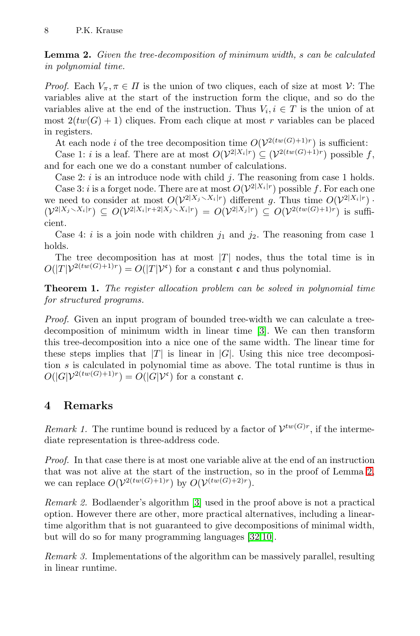**Lemma 2.** *Given the tree-decomposition of minimum width,* s *can be calculated in polynomial time.*

*Proof.* Each  $V_\pi$ ,  $\pi \in \Pi$  is the union of two cliques, each of size at most  $\mathcal{V}$ : The variables alive at the start of the instruction form the clique, and so do the variables alive at the end of the instruction. Thus  $V_i, i \in T$  is the union of at most  $2(tw(G) + 1)$  cliques. From each clique at most r variables can be placed in registers.

At each node *i* of the tree decomposition time  $O(\mathcal{V}^{2(tw(G)+1)r})$  is sufficient:

Case 1: *i* is a leaf. There are at most  $O(\mathcal{V}^{2|X_i|r}) \subseteq (\mathcal{V}^{2(tw(G)+1)r})$  possible f, and for each one we do a constant number of calculations.

Case 2:  $i$  is an introduce node with child  $j$ . The reasoning from case 1 holds.

Case 3: *i* is a forget node. There are at most  $O(\mathcal{V}^{2|X_i|r})$  possible f. For each one we need to consider at most  $O(\mathcal{V}^{2|X_j \sim X_i|r})$  different g. Thus time  $O(\mathcal{V}^{2|X_i|r}) \cdot (\mathcal{V}^{2|X_j \sim X_i|r}) \subseteq O(\mathcal{V}^{2|X_i|r+2|X_j \sim X_i|r}) = O(\mathcal{V}^{2|X_j|r}) \subseteq O(\mathcal{V}^{2(tw(G)+1)r})$  is sufficient cient.

<span id="page-7-0"></span>Case 4: i is a join node with [chi](#page-17-6)ldren  $j_1$  and  $j_2$ . The reasoning from case 1 holds.

The tree decomposition has at most  $|T|$  nodes, thus the total time is in  $O(|T|\mathcal{V}^{2(tw(G)+1)r}) = O(|T|\mathcal{V}^{\mathfrak{c}})$  for a constant  $\mathfrak{c}$  and thus polynomial.

**Theorem 1.** *The register allocation problem can be solved in polynomial time for structured programs.*

*Proof.* Given an input program of bounded tree-width we can calculate a treedecomposition of minimum width in linear time [3]. We can then transform this tree-decomposition into a nice one of the same width. The linear time for these steps implies that  $|T|$  is linear in  $|G|$ . Using this nice tree decomposition s is calculated in polynomial time as above. The total runtime is thus in  $O(|G|\mathcal{V}^{2(tw(G)+1)r})=O(|G|\mathcal{V}^{\mathfrak{c}})$  for a constant  $\mathfrak{c}.$ 

# **4 Remarks**

*Remark 1.* The runtime bound is reduced by a factor of  $\mathcal{V}^{tw(G)r}$ , if the intermediate representation is three-address code.

*Proof.* In that case there is at most one variable alive at the end of an instruction that was not alive at the start of the instruction, so in the proof of Lemma 2, we can replace  $O(\mathcal{V}^{2(tw(G)+1)r})$  by  $O(\mathcal{V}^{(tw(G)+2)r})$ .

*Remark 2.* Bodlaender's algorithm [3] used in the proof above is not a practical option. However there are other, more practical alternatives, including a lineartime algorithm that is not guaranteed to give decompositions of minimal width, but will do so for many programming languages [32,10].

*Remark 3.* Implementations of the algorithm can be massively parallel, resulting in linear runtime.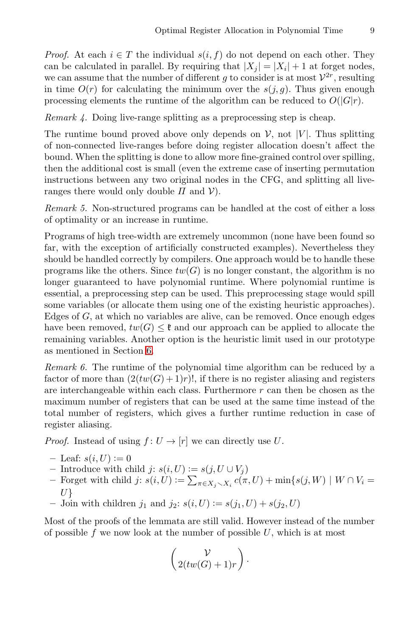*Proof.* At each  $i \in T$  the individual  $s(i, f)$  do not depend on each other. They can be calculated in parallel. By requiring that  $|X_i| = |X_i| + 1$  at forget nodes, we can assume that the number of different g to consider is at most  $\mathcal{V}^{2r}$ , resulting in time  $O(r)$  for calculating the minimum over the  $s(j, g)$ . Thus given enough processing elements the runtime of the algorithm can be reduced to  $O(|G|r)$ .

*Remark 4.* Doing live-range splitting as a preprocessing step is cheap.

The runtime bound proved above only depends on  $\mathcal{V}$ , not |V|. Thus splitting of non-connected live-ranges before doing register allocation doesn't affect the bound. When the splitting is done to allow more fine-grained control over spilling, then the additional cost is small (even the extreme case of inserting permutation instructions between any two original nodes in the CFG, and splitting all liveranges there would only double  $\Pi$  and  $V$ ).

*Remark 5.* Non-structured programs can be handled at the cost of either a loss of optimality or an increase in runtime.

Programs of high tree-width are extremely uncommon (none have been found so far, with the exception of artificially constructed examples). Nevertheless they should [b](#page-10-0)e handled correctly by compilers. One approach would be to handle these programs like the others. Since  $tw(G)$  is no longer constant, the algorithm is no longer guaranteed to have polynomial runtime. Where polynomial runtime is essential, a preprocessing step can be used. This preprocessing stage would spill some variables (or allocate them using one of the existing heuristic approaches). Edges of  $G$ , at which no variables are alive, can be removed. Once enough edges have been removed,  $tw(G) \leq \mathfrak{k}$  and our approach can be applied to allocate the remaining variables. Another option is the heuristic limit used in our prototype as mentioned in Section 6.

*Remark 6.* The runtime of the polynomial time algorithm can be reduced by a factor of more than  $(2(tw(G) + 1)r)!$ , if there is no register aliasing and registers are interchangeable within each class. Furthermore  $r$  can then be chosen as the maximum number of registers that can be used at the same time instead of the total number of registers, which gives a further runtime reduction in case of register aliasing.

*Proof.* Instead of using  $f: U \to [r]$  we can directly use U.<br> – Leaf:  $s(i, U) := 0$ 

- $-$  Leaf:  $s(i, U) := 0$ <br>  $-$  Introduce with cl
- $-$  Introduce with child *j*: *s*(*i*, *U*) := *s*(*j*, *U* ∪ *V<sub>j</sub>*) = Forget with child *i*: *s*(*i I*) := Γ = π = *s*(π
- $-$  Forget with child  $j: s(i, U) := \sum_{\pi \in X_j \setminus X_i} c(\pi, U) + \min\{s(j, W) \mid W \cap V_i = I\}$  $U$ }<br>Joi
- **–** Join with children  $j_1$  and  $j_2$ :  $s(i, U) := s(j_1, U) + s(j_2, U)$

Most of the proofs of the lemmata are still valid. However instead of the number of possible f we now look at the number of possible  $U$ , which is at most

$$
\left(\begin{array}{c}\n\mathcal{V} \\
2(tw(G)+1)r\n\end{array}\right).
$$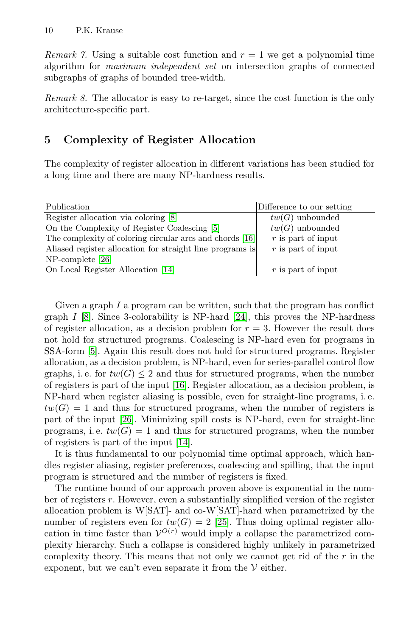*Remark 7.* Using a suitable cost function and  $r = 1$  we get a polynomial time algorithm for *maximum independent set* on intersection graphs of connected subgraphs of graphs of bounded tree-width.

*Remark 8.* The allocator is easy to re-target, since the cost function is the only architecture-specific part.

# **5 Complexity [of](#page-17-7) Register Allocation**

The complexity of register allocation in different variations has been studied for a long tim[e](#page-18-9) [a](#page-18-9)nd there are many NP-hardness results.

| Publication                                               | Difference to our setting |
|-----------------------------------------------------------|---------------------------|
| Register allocation via coloring [8]                      | $tw(G)$ unbounded         |
| On the Complexity of Register Coalescing [5]              | $tw(G)$ unbounded         |
| The complexity of coloring circular arcs and chords [16]  | $r$ is part of input      |
| Aliased register allocation for straight line programs is | $r$ is part of input      |
| $NP$ -complete [26]                                       |                           |
| On Local Register Allocation [14]                         | $r$ is part of input      |

Given a gr[aph](#page-18-11)  $I$  a program can be written, such that the program has conflict graph I [8]. Since 3-colorability is NP-hard [24], this proves the NP-hardness [of r](#page-18-12)egister allocation, as a decision problem for  $r = 3$ . However the result does not hold for structured programs. Coalescing is NP-hard even for programs in SSA-form [5]. [Ag](#page-18-9)ain this result does not hold for structured programs. Register allocation, as a decision problem, is NP-hard, even for series-parallel control flow graphs, i.e. for  $tw(G) \leq 2$  and thus for structured programs, when the number of registers is part of the input [16]. Register allocation, as a decision problem, is NP-hard when register aliasing is possible, even for straight-line programs, i. e.  $tw(G) = 1$  and thus for structured programs, when the number of registers is part of the input [26]. Minimizing spill costs is NP-hard, even for straight-line programs, i.e.  $tw(G) = 1$  $tw(G) = 1$  and thus for structured programs, when the number of registers is part of the input [14].

It is thus fundamental to our polynomial time optimal approach, which handles register aliasing, register preferences, coalescing and spilling, that the input program is structured and the number of registers is fixed.

The runtime bound of our approach proven above is exponential in the number of registers r. However, even a substantially simplified version of the register allocation problem is W[SAT]- and co-W[SAT]-hard when parametrized by the number of registers even for  $tw(G) = 2$  [25]. Thus doing optimal register allocation in time faster than  $\mathcal{V}^{O(r)}$  would imply a collapse the parametrized complexity hierarchy. Such a collapse is considered highly unlikely in parametrized complexity theory. This means that not only we cannot get rid of the  $r$  in the exponent, but we can't even separate it from the  $V$  either.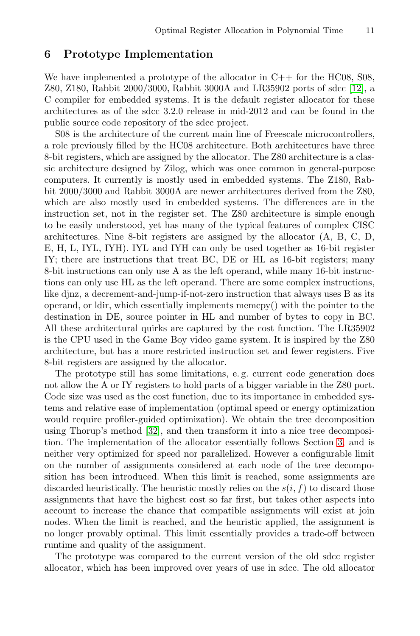### <span id="page-10-0"></span>**6 Prototype Implementation**

We have implemented a prototype of the allocator in  $C++$  for the HC08, S08, Z80, Z180, Rabbit 2000/3000, Rabbit 3000A and LR35902 ports of sdcc [12], a C compiler for embedded systems. It is the default register allocator for these architectures as of the sdcc 3.2.0 release in mid-2012 and can be found in the public source code repository of the sdcc project.

S08 is the architecture of the current main line of Freescale microcontrollers, a role previously filled by the HC08 architecture. Both architectures have three 8-bit registers, which are assigned by the allocator. The Z80 architecture is a classic architecture designed by Zilog, which was once common in general-purpose computers. It currently is mostly used in embedded systems. The Z180, Rabbit 2000/3000 and Rabbit 3000A are newer architectures derived from the Z80, which are also mostly used in embedded systems. The differences are in the instruction set, not in the register set. The Z80 architecture is simple enough to be easily understood, yet has many of the typical features of complex CISC architectures. Nine 8-bit registers are assigned by the allocator (A, B, C, D, E, H, L, IYL, IYH). IYL and IYH can only be used together as 16-bit register IY; there are instructions that treat BC, DE or HL as 16-bit registers; many 8-bit instructions can only use A as the left operand, while many 16-bit instructions can only use HL as the left operand. There are some complex instructions, like djnz, a decrement-and-jump-if-not-zero instruction that always uses B as its operand, or ldir, which essentially implements memcpy() with the pointer to the destination in DE, source pointer in HL and number of bytes to copy in BC. All these architectural quirks are captured by the cost function. The LR35902 is the [CPU](#page-19-2) used in the Game Boy video game system. It is inspired by the Z80 architecture, but has a more restricted instruction s[et](#page-5-0) and fewer registers. Five 8-bit registers are assigned by the allocator.

The prototype still has some limitations, e. g. current code generation does not allow the A or IY registers to hold parts of a bigger variable in the Z80 port. Code size was used as the cost function, due to its importance in embedded systems and relative ease of implementation (optimal speed or energy optimization would require profiler-guided optimization). We obtain the tree decomposition using Thorup's method [32], and then transform it into a nice tree decomposition. The implementation of the allocator essentially follows Section 3, and is neither very optimized for speed nor parallelized. However a configurable limit on the number of assignments considered at each node of the tree decomposition has been introduced. When this limit is reached, some assignments are discarded heuristically. The heuristic mostly relies on the  $s(i, f)$  to discard those assignments that have the highest cost so far first, but takes other aspects into account to increase the chance that compatible assignments will exist at join nodes. When the limit is reached, and the heuristic applied, the assignment is no longer provably optimal. This limit essentially provides a trade-off between runtime and quality of the assignment.

The prototype was compared to the current version of the old sdcc register allocator, which has been improved over years of use in sdcc. The old allocator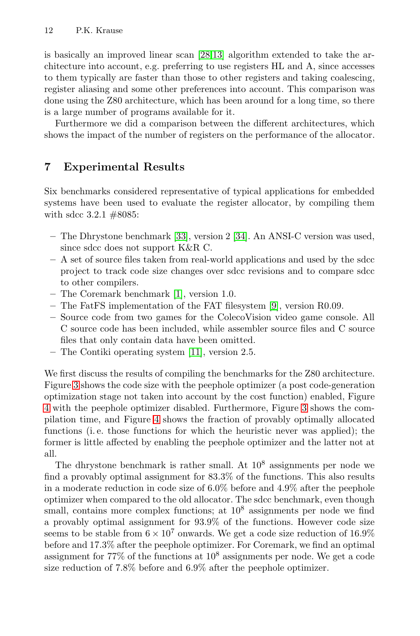<span id="page-11-0"></span>is basically an improved linear scan [28,13] algorithm extended to take the architecture into account, e.g. preferring to use registers HL and A, since accesses to them typically are faster than those to other registers and taking coalescing, register aliasing and some other preferences into account. This comparison was done using the Z80 architecture, which has been around for a long time, so there is a large number of programs available for it.

Furthermore we did a comparison between the different architectures, which shows the impact of the number of registers on the performance of the allocator.

# **7 Experimental Results**

Six benchmarks considered representative of typical applications for embedded systems have [b](#page-17-8)een used to evaluate the register allocator, by compiling them with sdcc 3.2.1 #8085:

- **–** The Dhrystone benchmark [33], version 2 [34]. An ANSI-C version was used, since sdcc does not support K&R C.
- **–** A set of sour[ce fi](#page-18-14)les taken from real-world applications and used by the sdcc project to track code size changes over sdcc revisions and to compare sdcc to other compilers.
- **–** The Coremark benchmark [1], version 1.0.
- **–** The FatFS implementation of the FAT filesystem [9], version R0.09.
- **–** Source code from two games for the C[ole](#page-13-0)coVision video game console. All C so[ur](#page-14-0)ce code has been included, while assembler source files and C source files that only contain data have been omitted.
- **–** The Contiki operating system [11], version 2.5.

We first discuss the results of compiling the benchmarks for the Z80 architecture. Figure 3 shows the code size with the peephole optimizer (a post code-generation optimization stage not taken into account by the cost function) enabled, Figure 4 with the peephole optimizer disabled. Furthermore, Figure 3 shows the compilation time, and Figure 4 shows the fraction of provably optimally allocated functions (i. e. those functions for which the heuristic never was applied); the former is little affected by enabling the peephole optimizer and the latter not at all.

The dhrystone benchmark is rather small. At  $10^8$  assignments per node we find a provably optimal assignment for 83.3% of the functions. This also results in a moderate reduction in code size of 6.0% before and 4.9% after the peephole optimizer when compared to the old allocator. The sdcc benchmark, even though small, contains more complex functions; at  $10^8$  assignments per node we find a provably optimal assignment for 93.9% of the functions. However code size seems to be stable from  $6 \times 10^7$  onwards. We get a code size reduction of  $16.9\%$ before and 17.3% after the peephole optimizer. For Coremark, we find an optimal assignment for  $77\%$  of the functions at  $10^8$  assignments per node. We get a code size reduction of 7.8% before and 6.9% after the peephole optimizer.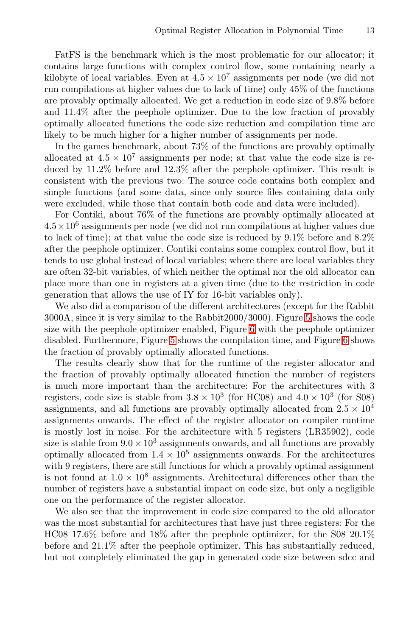FatFS is the benchmark which is the most problematic for our allocator; it contains large functions with complex control flow, some containing nearly a kilobyte of local variables. Even at  $4.5 \times 10^7$  assignments per node (we did not run compilations at higher values due to lack of time) only 45% of the functions are provably optimally allocated. We get a reduction in code size of 9.8% before and 11.4% after the peephole optimizer. Due to the low fraction of provably optimally allocated functions the code size reduction and compilation time are likely to be much higher for a higher number of assignments per node.

In the games benchmark, about 73% of the functions are provably optimally allocated at  $4.5 \times 10^7$  assignments per node; at that value the code size is reduced by 11.2% before and 12.3% after the peephole optimizer. This result is consistent with the previous two: The source code contains both complex and simple functions (and some data, since only source files containing data only were excluded, while those that contain both code and data were included).

For Contiki, about 76% of the functions are provably optimally allocated at  $4.5 \times 10^6$  assig[n](#page-15-0)ments per node (we did not run compilations at higher values due to lack of time); at that value t[he](#page-16-0) code size is reduced by 9.1% before and 8.2% after the pe[ep](#page-15-0)hole optimizer. Contiki contains some c[om](#page-16-0)plex control flow, but it tends to use global instead of local variables; where there are local variables they are often 32-bit variables, of which neither the optimal nor the old allocator can place more than one in registers at a given time (due to the restriction in code generation that allows the use of IY for 16-bit variables only).

We also did a comparison of the different architectures (except for the Rabbit 3000A, since it is very similar to the Rabbit2000/3000). Figure 5 shows the code size with the peephole optimizer enabled, Figure 6 with the peephole optimizer disabled. Furthermore, Figure 5 shows the compilation time, and Figure 6 shows the fraction of provably optimally allocated functions.

The results clearly show that for the runtime of the register allocator and the fraction of provably optimally allocated function the number of registers is much more important than the architecture: For the architectures with 3 registers, code size is stable from  $3.8 \times 10^3$  (for HC08) and  $4.0 \times 10^3$  (for S08) assignments, and all functions are provably optimally allocated from  $2.5 \times 10^4$ assignments onwards. The effect of the register allocator on compiler runtime is mostly lost in noise. For the architecture with 5 registers (LR35902), code size is stable from  $9.0 \times 10^3$  assignments onwards, and all functions are provably optimally allocated from  $1.4 \times 10^5$  assignments onwards. For the architectures with 9 registers, there are still functions for which a provably optimal assignment is not found at  $1.0 \times 10^8$  assignments. Architectural differences other than the number of registers have a substantial impact on code size, but only a negligible one on the performance of the register allocator.

We also see that the improvement in code size compared to the old allocator was the most substantial for architectures that have just three registers: For the HC08 17.6% before and 18% after the peephole optimizer, for the S08 20.1% before and 21.1% after the peephole optimizer. This has substantially reduced, but not completely eliminated the gap in generated code size between sdcc and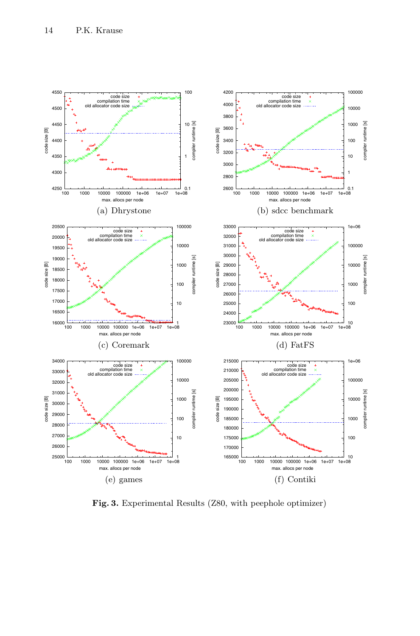

<span id="page-13-0"></span>**Fig. 3.** Experimental Results (Z80, with peephole optimizer)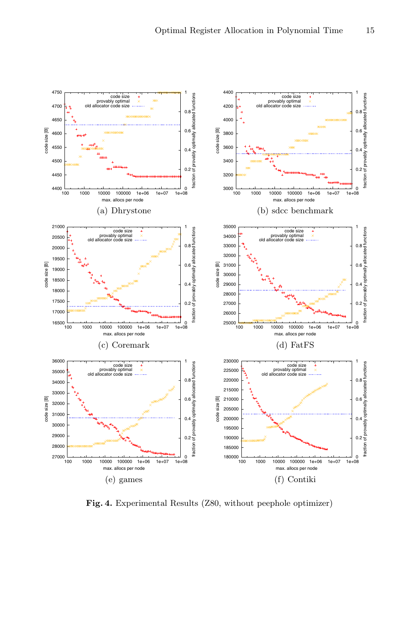

<span id="page-14-0"></span>**Fig. 4.** Experimental Results (Z80, without peephole optimizer)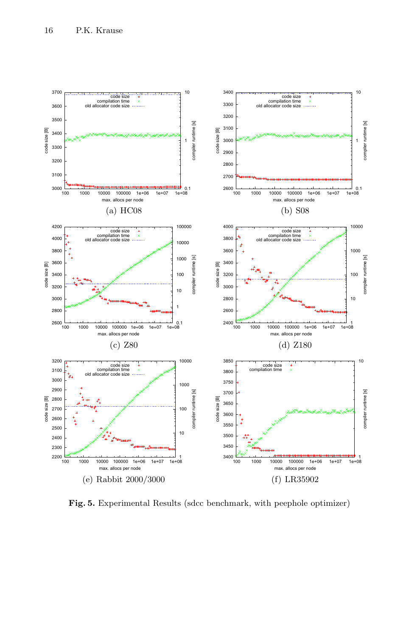

<span id="page-15-0"></span>**Fig. 5.** Experimental Results (sdcc benchmark, with peephole optimizer)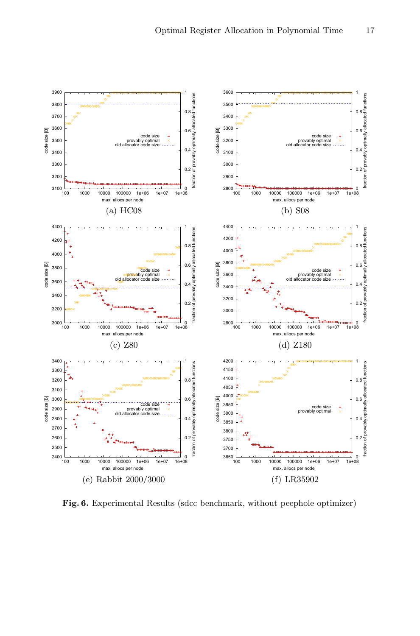

<span id="page-16-0"></span>**Fig. 6.** Experimental Results (sdcc benchmark, without peephole optimizer)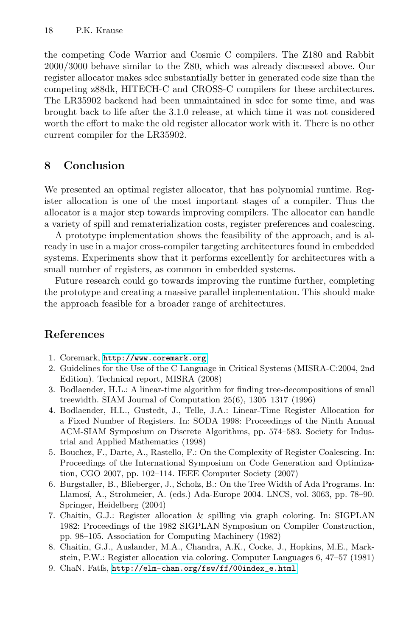<span id="page-17-3"></span>the competing Code Warrior and Cosmic C compilers. The Z180 and Rabbit 2000/3000 behave similar to the Z80, which was already discussed above. Our register allocator makes sdcc substantially better in generated code size than the competing z88dk, HITECH-C and CROSS-C compilers for these architectures. The LR35902 backend had been unmaintained in sdcc for some time, and was brought back to life after the 3.1.0 release, at which time it was not considered worth the effort to make the old register allocator work with it. There is no other current compiler for the LR35902.

### **8 Conclusion**

<span id="page-17-8"></span><span id="page-17-5"></span>We presented an optimal register allocator, that has polynomial runtime. Register allocation is one of the most important stages of a compiler. Thus the allocator is a major step towards improving compilers. The allocator can handle a variety of spill and rematerialization costs, register preferences and coalescing.

<span id="page-17-6"></span><span id="page-17-2"></span>A prototype implementation shows the feasibility of the approach, and is already in use in a major cross-compiler targeting architectures found in embedded systems. Experiments show that it performs excellently for architectures with a [small number of regis](http://www.coremark.org)ters, as common in embedded systems.

<span id="page-17-7"></span>Future research could go towards improving the runtime further, completing the prototype and creating a massive parallel implementation. This should make the approach feasible for a broader range of architectures.

# <span id="page-17-4"></span><span id="page-17-0"></span>**References**

- 1. Coremark, http://www.coremark.org
- <span id="page-17-1"></span>2. Guidelines for the Use of the C Language in Critical Systems (MISRA-C:2004, 2nd Edition). Technical report, MISRA (2008)
- 3. Bodlaender, H.L.: A linear-time algorithm for finding tree-decompositions of small treewidth. SIAM Journal of Computation 25(6), 1305–1317 (1996)
- 4. Bodlaender, H.L., Gustedt, J., Telle, J.A.: Linear-Time Register Allocation for a Fixed Number of Registers. In: SODA 1998: Proceedings of the Ninth Annual ACM-SIAM Symposium on Discrete Algorithms, pp. 574–583. Society for Industrial and Applied Mathematics (1998)
- 5. Bouchez, F., Darte, A., Rastello, F.: On the Complexity of Register Coalescing. In: Proceedings of the International Symposium on Code Generation and Optimization, CGO 2007, pp. 102–114. IEEE Computer Society (2007)
- [6. Burgstaller, B., Blieberger, J., Scholz, B.: O](http://elm-chan.org/fsw/ff/00index_e.html)n the Tree Width of Ada Programs. In: Llamosí, A., Strohmeier, A. (eds.) Ada-Europe 2004. LNCS, vol. 3063, pp. 78–90. Springer, Heidelberg (2004)
- 7. Chaitin, G.J.: Register allocation & spilling via graph coloring. In: SIGPLAN 1982: Proceedings of the 1982 SIGPLAN Symposium on Compiler Construction, pp. 98–105. Association for Computing Machinery (1982)
- 8. Chaitin, G.J., Auslander, M.A., Chandra, A.K., Cocke, J., Hopkins, M.E., Markstein, P.W.: Register allocation via coloring. Computer Languages 6, 47–57 (1981)
- 9. ChaN. Fatfs, http://elm-chan.org/fsw/ff/00index\_e.html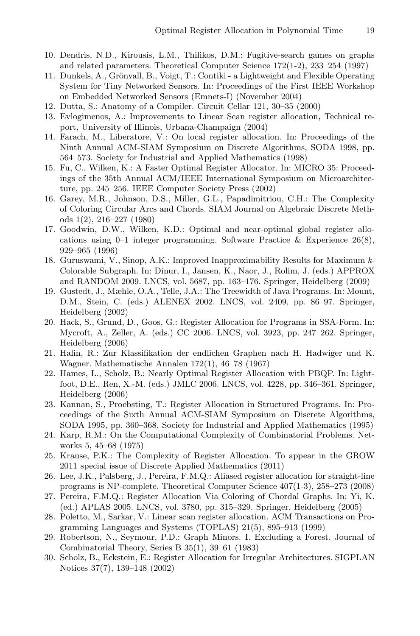- <span id="page-18-14"></span><span id="page-18-9"></span><span id="page-18-7"></span>10. Dendris, N.D., Kirousis, L.M., Thilikos, D.M.: Fugitive-search games on graphs and related parameters. Theoretical Computer Science 172(1-2), 233–254 (1997)
- <span id="page-18-3"></span>11. Dunkels, A., Grönvall, B., Voigt, T.: Contiki - a Lightweight and Flexible Operating System for Tiny Networked Sensors. In: Proceedings of the First IEEE Workshop on Embedded Networked Sensors (Emnets-I) (November 2004)
- <span id="page-18-11"></span>12. Dutta, S.: Anatomy of a Compiler. Circuit Cellar 121, 30–35 (2000)
- 13. Evlogimenos, A.: Improvements to Linear Scan register allocation, Technical report, University of Illinois, Urbana-Champaign (2004)
- <span id="page-18-2"></span>14. Farach, M., Liberatore, V.: On local register allocation. In: Proceedings of the Ninth Annual ACM-SIAM Symposium on Discrete Algorithms, SODA 1998, pp. 564–573. Society for Industrial and Applied Mathematics (1998)
- <span id="page-18-0"></span>15. Fu, C., Wilken, K.: A Faster Optimal Register Allocator. In: MICRO 35: Proceedings of the 35th Annual ACM/IEEE International Symposium on Microarchitecture, pp. 245–256. IEEE Computer Society Press (2002)
- <span id="page-18-8"></span>16. Garey, M.R., Johnson, D.S., Miller, G.L., Papadimitriou, C.H.: The Complexity of Coloring Circular Arcs and Chords. SIAM Journal on Algebraic Discrete Methods 1(2), 216–227 (1980)
- <span id="page-18-1"></span>17. Goodwin, D.W., Wilken, K.D.: Optimal and near-optimal global register allocations using  $0-1$  integer programming. Software Practice & Experience 26(8), 929–965 (1996)
- 18. Guruswami, V., Sinop, A.K.: Improved Inapproximability Results for Maximum *k*-Colorable Subgraph. In: Dinur, I., Jansen, K., Naor, J., Rolim, J. (eds.) APPROX and RANDOM 2009. LNCS, vol. 5687, pp. 163–176. Springer, Heidelberg (2009)
- <span id="page-18-5"></span>19. Gustedt, J., Mæhle, O.A., Telle, J.A.: The Treewidth of Java Programs. In: Mount, D.M., Stein, C. (eds.) ALENEX 2002. LNCS, vol. 2409, pp. 86–97. Springer, Heidelberg (2002)
- 20. Hack, S., Grund, D., Goos, G.: Register Allocation for Programs in SSA-Form. In: Mycroft, A., Zeller, A. (eds.) CC 2006. LNCS, vol. 3923, pp. 247–262. Springer, Heidelberg (2006)
- <span id="page-18-10"></span>21. Halin, R.: Zur Klassifikation der endlichen Graphen nach H. Hadwiger und K. Wagner. Mathematische Annalen 172(1), 46–78 (1967)
- <span id="page-18-13"></span><span id="page-18-12"></span>22. Hames, L., Scholz, B.: Nearly Optimal Register Allocation with PBQP. In: Lightfoot, D.E., Ren, X.-M. (eds.) JMLC 2006. LNCS, vol. 4228, pp. 346–361. Springer, Heidelberg (2006)
- 23. Kannan, S., Proebsting, T.: Register Allocation in Structured Programs. In: Proceedings of the Sixth Annual ACM-SIAM Symposium on Discrete Algorithms, SODA 1995, pp. 360–368. Society for Industrial and Applied Mathematics (1995)
- <span id="page-18-6"></span>24. Karp, R.M.: On the Computational Complexity of Combinatorial Problems. Networks 5, 45–68 (1975)
- 25. Krause, P.K.: The Complexity of Register Allocation. To appear in the GROW 2011 special issue of Discrete Applied Mathematics (2011)
- <span id="page-18-4"></span>26. Lee, J.K., Palsberg, J., Pereira, F.M.Q.: Aliased register allocation for straight-line programs is NP-complete. Theoretical Computer Science 407(1-3), 258–273 (2008)
- 27. Pereira, F.M.Q.: Register Allocation Via Coloring of Chordal Graphs. In: Yi, K. (ed.) APLAS 2005. LNCS, vol. 3780, pp. 315–329. Springer, Heidelberg (2005)
- 28. Poletto, M., Sarkar, V.: Linear scan register allocation. ACM Transactions on Programming Languages and Systems (TOPLAS) 21(5), 895–913 (1999)
- 29. Robertson, N., Seymour, P.D.: Graph Minors. I. Excluding a Forest. Journal of Combinatorial Theory, Series B 35(1), 39–61 (1983)
- 30. Scholz, B., Eckstein, E.: Register Allocation for Irregular Architectures. SIGPLAN Notices 37(7), 139–148 (2002)